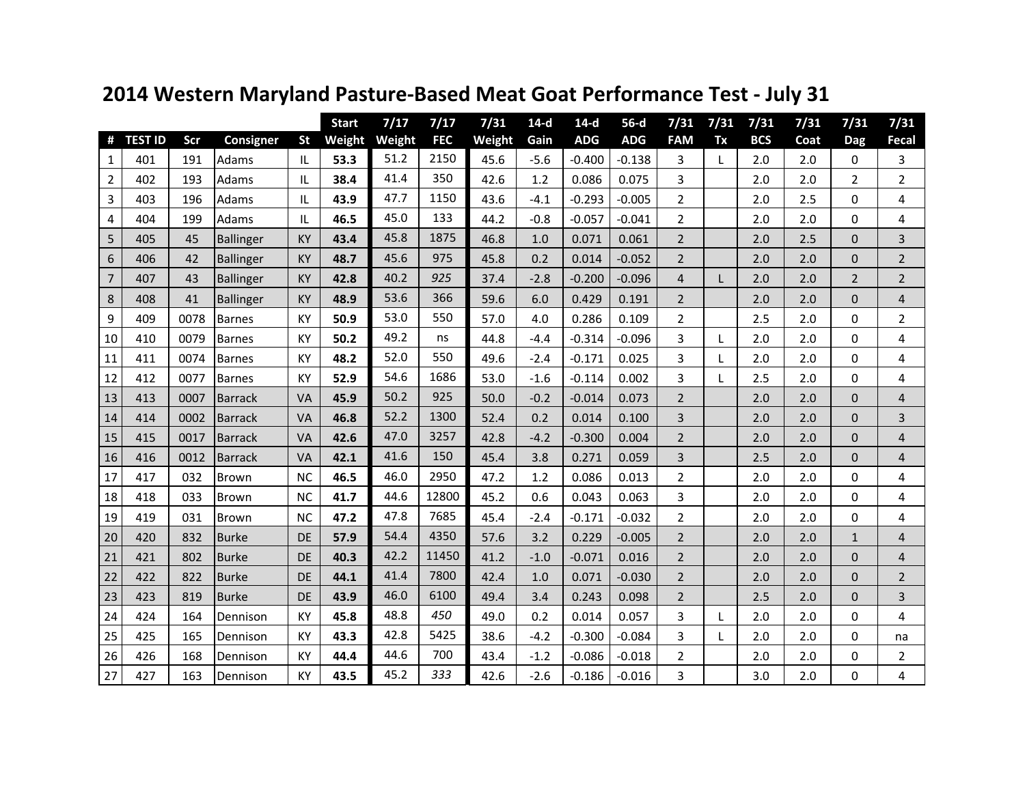|                |                |      |                  |           | <b>Start</b> | 7/17   | 7/17       | 7/31   | $14-d$ | $14-d$     | $56-d$     | 7/31           | 7/31 | 7/31       | 7/31 | 7/31           | 7/31                    |
|----------------|----------------|------|------------------|-----------|--------------|--------|------------|--------|--------|------------|------------|----------------|------|------------|------|----------------|-------------------------|
| #              | <b>TEST ID</b> | Scr  | Consigner        | <b>St</b> | Weight       | Weight | <b>FEC</b> | Weight | Gain   | <b>ADG</b> | <b>ADG</b> | <b>FAM</b>     | Tx   | <b>BCS</b> | Coat | Dag            | Fecal                   |
| $\mathbf{1}$   | 401            | 191  | Adams            | IL        | 53.3         | 51.2   | 2150       | 45.6   | $-5.6$ | $-0.400$   | $-0.138$   | 3              | L    | 2.0        | 2.0  | $\mathbf 0$    | 3                       |
| $\overline{2}$ | 402            | 193  | Adams            | IL        | 38.4         | 41.4   | 350        | 42.6   | 1.2    | 0.086      | 0.075      | 3              |      | 2.0        | 2.0  | $\overline{2}$ | $\overline{2}$          |
| 3              | 403            | 196  | Adams            | IL        | 43.9         | 47.7   | 1150       | 43.6   | $-4.1$ | $-0.293$   | $-0.005$   | $\overline{2}$ |      | 2.0        | 2.5  | $\Omega$       | 4                       |
| 4              | 404            | 199  | Adams            | IL        | 46.5         | 45.0   | 133        | 44.2   | $-0.8$ | $-0.057$   | $-0.041$   | $\overline{2}$ |      | 2.0        | 2.0  | $\mathbf 0$    | 4                       |
| 5              | 405            | 45   | Ballinger        | <b>KY</b> | 43.4         | 45.8   | 1875       | 46.8   | 1.0    | 0.071      | 0.061      | $\overline{2}$ |      | 2.0        | 2.5  | $\mathbf{0}$   | 3                       |
| 6              | 406            | 42   | <b>Ballinger</b> | <b>KY</b> | 48.7         | 45.6   | 975        | 45.8   | 0.2    | 0.014      | $-0.052$   | $\overline{2}$ |      | 2.0        | 2.0  | $\mathbf{0}$   | $\overline{2}$          |
| $\overline{7}$ | 407            | 43   | <b>Ballinger</b> | <b>KY</b> | 42.8         | 40.2   | 925        | 37.4   | $-2.8$ | $-0.200$   | $-0.096$   | $\overline{4}$ | L    | 2.0        | 2.0  | $\overline{2}$ | $\overline{2}$          |
| 8              | 408            | 41   | <b>Ballinger</b> | KY        | 48.9         | 53.6   | 366        | 59.6   | 6.0    | 0.429      | 0.191      | $\overline{2}$ |      | 2.0        | 2.0  | $\mathbf{0}$   | 4                       |
| 9              | 409            | 0078 | Barnes           | KY        | 50.9         | 53.0   | 550        | 57.0   | 4.0    | 0.286      | 0.109      | $\overline{2}$ |      | 2.5        | 2.0  | $\Omega$       | $\overline{2}$          |
| 10             | 410            | 0079 | <b>Barnes</b>    | KY        | 50.2         | 49.2   | ns         | 44.8   | $-4.4$ | $-0.314$   | $-0.096$   | 3              | L    | 2.0        | 2.0  | 0              | 4                       |
| 11             | 411            | 0074 | <b>Barnes</b>    | KY        | 48.2         | 52.0   | 550        | 49.6   | $-2.4$ | $-0.171$   | 0.025      | 3              | L    | 2.0        | 2.0  | $\Omega$       | 4                       |
| 12             | 412            | 0077 | <b>Barnes</b>    | KY        | 52.9         | 54.6   | 1686       | 53.0   | $-1.6$ | $-0.114$   | 0.002      | 3              | L    | 2.5        | 2.0  | $\mathbf 0$    | 4                       |
| 13             | 413            | 0007 | <b>Barrack</b>   | <b>VA</b> | 45.9         | 50.2   | 925        | 50.0   | $-0.2$ | $-0.014$   | 0.073      | $\overline{2}$ |      | 2.0        | 2.0  | $\Omega$       | 4                       |
| 14             | 414            | 0002 | <b>Barrack</b>   | VA        | 46.8         | 52.2   | 1300       | 52.4   | 0.2    | 0.014      | 0.100      | $\overline{3}$ |      | 2.0        | 2.0  | $\Omega$       | 3                       |
| 15             | 415            | 0017 | <b>Barrack</b>   | <b>VA</b> | 42.6         | 47.0   | 3257       | 42.8   | $-4.2$ | $-0.300$   | 0.004      | $\overline{2}$ |      | 2.0        | 2.0  | $\mathbf{0}$   | 4                       |
| 16             | 416            | 0012 | <b>Barrack</b>   | VA        | 42.1         | 41.6   | 150        | 45.4   | 3.8    | 0.271      | 0.059      | 3              |      | 2.5        | 2.0  | $\mathbf 0$    | $\overline{\mathbf{r}}$ |
| 17             | 417            | 032  | Brown            | <b>NC</b> | 46.5         | 46.0   | 2950       | 47.2   | 1.2    | 0.086      | 0.013      | $\overline{2}$ |      | 2.0        | 2.0  | $\Omega$       | 4                       |
| 18             | 418            | 033  | Brown            | <b>NC</b> | 41.7         | 44.6   | 12800      | 45.2   | 0.6    | 0.043      | 0.063      | 3              |      | 2.0        | 2.0  | $\Omega$       | 4                       |
| 19             | 419            | 031  | Brown            | <b>NC</b> | 47.2         | 47.8   | 7685       | 45.4   | $-2.4$ | $-0.171$   | $-0.032$   | $\overline{2}$ |      | 2.0        | 2.0  | $\mathbf 0$    | 4                       |
| 20             | 420            | 832  | <b>Burke</b>     | DE        | 57.9         | 54.4   | 4350       | 57.6   | 3.2    | 0.229      | $-0.005$   | $\overline{2}$ |      | 2.0        | 2.0  | 1              | 4                       |
| 21             | 421            | 802  | <b>Burke</b>     | <b>DE</b> | 40.3         | 42.2   | 11450      | 41.2   | $-1.0$ | $-0.071$   | 0.016      | $\overline{2}$ |      | 2.0        | 2.0  | $\mathbf{0}$   | 4                       |
| 22             | 422            | 822  | <b>Burke</b>     | DE        | 44.1         | 41.4   | 7800       | 42.4   | 1.0    | 0.071      | $-0.030$   | $\overline{2}$ |      | 2.0        | 2.0  | $\mathbf{0}$   | $\overline{2}$          |
| 23             | 423            | 819  | <b>Burke</b>     | DE        | 43.9         | 46.0   | 6100       | 49.4   | 3.4    | 0.243      | 0.098      | $\overline{2}$ |      | 2.5        | 2.0  | $\mathbf{0}$   | 3                       |
| 24             | 424            | 164  | Dennison         | KY        | 45.8         | 48.8   | 450        | 49.0   | 0.2    | 0.014      | 0.057      | $\overline{3}$ | L    | 2.0        | 2.0  | $\Omega$       | 4                       |
| 25             | 425            | 165  | Dennison         | KY        | 43.3         | 42.8   | 5425       | 38.6   | $-4.2$ | $-0.300$   | $-0.084$   | 3              | L    | 2.0        | 2.0  | 0              | na                      |
| 26             | 426            | 168  | Dennison         | KY        | 44.4         | 44.6   | 700        | 43.4   | $-1.2$ | $-0.086$   | $-0.018$   | $\overline{2}$ |      | 2.0        | 2.0  | $\Omega$       | $\overline{2}$          |
| 27             | 427            | 163  | Dennison         | KY        | 43.5         | 45.2   | 333        | 42.6   | $-2.6$ | $-0.186$   | $-0.016$   | 3              |      | 3.0        | 2.0  | 0              | 4                       |

## **2014 Western Maryland Pasture-Based Meat Goat Performance Test - July 31**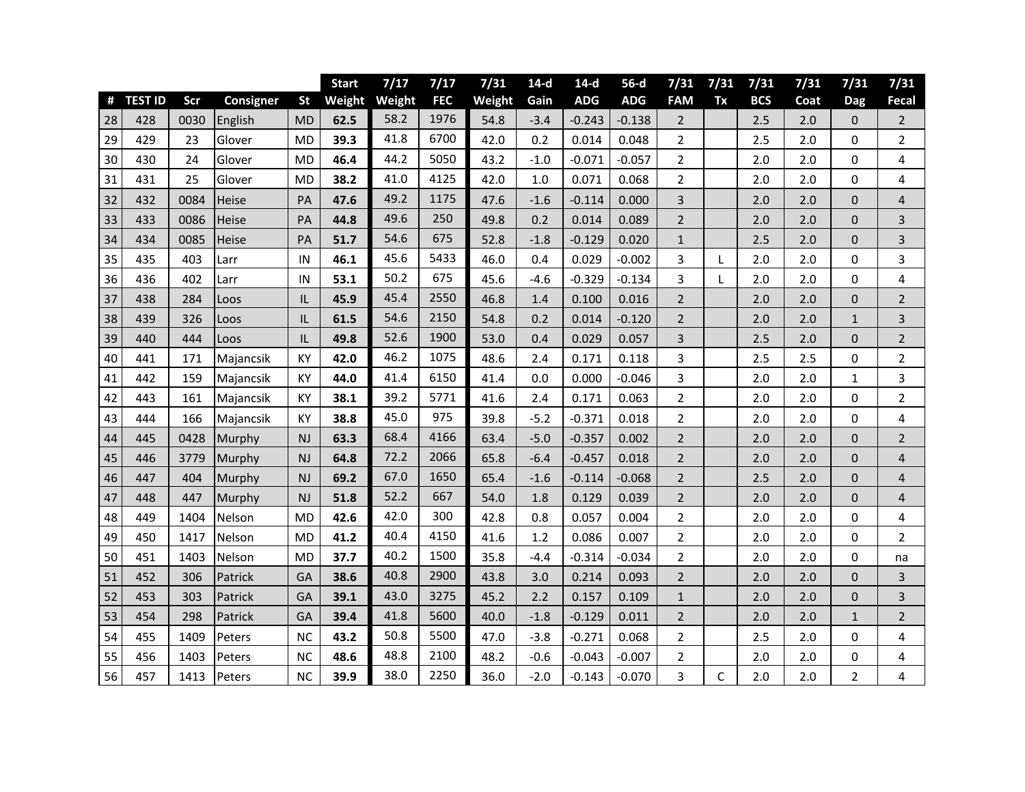|    |                |      |                  |           | <b>Start</b> | 7/17   | 7/17       | 7/31   | $14-d$ | $14-d$     | $56-d$     | 7/31           | 7/31      | 7/31       | 7/31 | 7/31           | 7/31           |
|----|----------------|------|------------------|-----------|--------------|--------|------------|--------|--------|------------|------------|----------------|-----------|------------|------|----------------|----------------|
| #  | <b>TEST ID</b> | Scr  | <b>Consigner</b> | <b>St</b> | Weight       | Weight | <b>FEC</b> | Weight | Gain   | <b>ADG</b> | <b>ADG</b> | <b>FAM</b>     | <b>Tx</b> | <b>BCS</b> | Coat | <b>Dag</b>     | Fecal          |
| 28 | 428            | 0030 | English          | MD        | 62.5         | 58.2   | 1976       | 54.8   | $-3.4$ | $-0.243$   | $-0.138$   | $\overline{2}$ |           | 2.5        | 2.0  | 0              | $\overline{2}$ |
| 29 | 429            | 23   | Glover           | MD        | 39.3         | 41.8   | 6700       | 42.0   | 0.2    | 0.014      | 0.048      | $\overline{2}$ |           | 2.5        | 2.0  | 0              | $\mathbf{2}$   |
| 30 | 430            | 24   | Glover           | <b>MD</b> | 46.4         | 44.2   | 5050       | 43.2   | $-1.0$ | $-0.071$   | $-0.057$   | $\overline{2}$ |           | 2.0        | 2.0  | 0              | 4              |
| 31 | 431            | 25   | Glover           | <b>MD</b> | 38.2         | 41.0   | 4125       | 42.0   | 1.0    | 0.071      | 0.068      | $\overline{2}$ |           | 2.0        | 2.0  | 0              | 4              |
| 32 | 432            | 0084 | Heise            | PA        | 47.6         | 49.2   | 1175       | 47.6   | $-1.6$ | $-0.114$   | 0.000      | 3              |           | 2.0        | 2.0  | $\mathbf 0$    | 4              |
| 33 | 433            | 0086 | Heise            | PA        | 44.8         | 49.6   | 250        | 49.8   | 0.2    | 0.014      | 0.089      | $\overline{2}$ |           | 2.0        | 2.0  | 0              | 3              |
| 34 | 434            | 0085 | Heise            | PA        | 51.7         | 54.6   | 675        | 52.8   | $-1.8$ | $-0.129$   | 0.020      | $\mathbf{1}$   |           | 2.5        | 2.0  | 0              | 3              |
| 35 | 435            | 403  | Larr             | IN        | 46.1         | 45.6   | 5433       | 46.0   | 0.4    | 0.029      | $-0.002$   | 3              | L         | 2.0        | 2.0  | 0              | 3              |
| 36 | 436            | 402  | Larr             | IN        | 53.1         | 50.2   | 675        | 45.6   | $-4.6$ | $-0.329$   | $-0.134$   | 3              | L         | 2.0        | 2.0  | 0              | 4              |
| 37 | 438            | 284  | Loos             | IL        | 45.9         | 45.4   | 2550       | 46.8   | 1.4    | 0.100      | 0.016      | $\overline{2}$ |           | 2.0        | 2.0  | 0              | $\overline{2}$ |
| 38 | 439            | 326  | Loos             | L         | 61.5         | 54.6   | 2150       | 54.8   | 0.2    | 0.014      | $-0.120$   | $\overline{2}$ |           | 2.0        | 2.0  | $\mathbf{1}$   | 3              |
| 39 | 440            | 444  | Loos             | IL        | 49.8         | 52.6   | 1900       | 53.0   | 0.4    | 0.029      | 0.057      | 3              |           | 2.5        | 2.0  | $\mathbf 0$    | $\overline{2}$ |
| 40 | 441            | 171  | Majancsik        | KY        | 42.0         | 46.2   | 1075       | 48.6   | 2.4    | 0.171      | 0.118      | 3              |           | 2.5        | 2.5  | 0              | $\overline{2}$ |
| 41 | 442            | 159  | Majancsik        | KY        | 44.0         | 41.4   | 6150       | 41.4   | 0.0    | 0.000      | $-0.046$   | 3              |           | 2.0        | 2.0  | $\mathbf{1}$   | 3              |
| 42 | 443            | 161  | Majancsik        | KY        | 38.1         | 39.2   | 5771       | 41.6   | 2.4    | 0.171      | 0.063      | $\overline{2}$ |           | 2.0        | 2.0  | 0              | $\overline{2}$ |
| 43 | 444            | 166  | Majancsik        | KY        | 38.8         | 45.0   | 975        | 39.8   | $-5.2$ | $-0.371$   | 0.018      | $\overline{2}$ |           | 2.0        | 2.0  | $\Omega$       | 4              |
| 44 | 445            | 0428 | Murphy           | <b>NJ</b> | 63.3         | 68.4   | 4166       | 63.4   | $-5.0$ | $-0.357$   | 0.002      | $\overline{2}$ |           | 2.0        | 2.0  | $\mathbf 0$    | $\overline{2}$ |
| 45 | 446            | 3779 | Murphy           | NJ        | 64.8         | 72.2   | 2066       | 65.8   | $-6.4$ | $-0.457$   | 0.018      | $\overline{2}$ |           | 2.0        | 2.0  | $\mathbf{0}$   | $\overline{4}$ |
| 46 | 447            | 404  | <b>Murphy</b>    | <b>NJ</b> | 69.2         | 67.0   | 1650       | 65.4   | $-1.6$ | $-0.114$   | $-0.068$   | $\overline{2}$ |           | 2.5        | 2.0  | 0              | 4              |
| 47 | 448            | 447  | Murphy           | NJ        | 51.8         | 52.2   | 667        | 54.0   | 1.8    | 0.129      | 0.039      | $\overline{2}$ |           | 2.0        | 2.0  | 0              | $\overline{4}$ |
| 48 | 449            | 1404 | Nelson           | <b>MD</b> | 42.6         | 42.0   | 300        | 42.8   | 0.8    | 0.057      | 0.004      | $\overline{2}$ |           | 2.0        | 2.0  | 0              | 4              |
| 49 | 450            | 1417 | Nelson           | MD        | 41.2         | 40.4   | 4150       | 41.6   | 1.2    | 0.086      | 0.007      | $\overline{2}$ |           | 2.0        | 2.0  | 0              | $\overline{2}$ |
| 50 | 451            | 1403 | Nelson           | MD        | 37.7         | 40.2   | 1500       | 35.8   | $-4.4$ | $-0.314$   | $-0.034$   | $\overline{2}$ |           | 2.0        | 2.0  | 0              | na             |
| 51 | 452            | 306  | Patrick          | GA        | 38.6         | 40.8   | 2900       | 43.8   | 3.0    | 0.214      | 0.093      | $\overline{2}$ |           | 2.0        | 2.0  | $\mathbf{0}$   | 3              |
| 52 | 453            | 303  | Patrick          | GA        | 39.1         | 43.0   | 3275       | 45.2   | 2.2    | 0.157      | 0.109      | $\mathbf{1}$   |           | 2.0        | 2.0  | 0              | 3              |
| 53 | 454            | 298  | Patrick          | GA        | 39.4         | 41.8   | 5600       | 40.0   | $-1.8$ | $-0.129$   | 0.011      | $\overline{2}$ |           | 2.0        | 2.0  | $\mathbf{1}$   | $\overline{2}$ |
| 54 | 455            | 1409 | Peters           | <b>NC</b> | 43.2         | 50.8   | 5500       | 47.0   | $-3.8$ | $-0.271$   | 0.068      | $\overline{2}$ |           | 2.5        | 2.0  | 0              | 4              |
| 55 | 456            | 1403 | Peters           | <b>NC</b> | 48.6         | 48.8   | 2100       | 48.2   | $-0.6$ | $-0.043$   | $-0.007$   | $\overline{2}$ |           | 2.0        | 2.0  | 0              | 4              |
| 56 | 457            | 1413 | Peters           | <b>NC</b> | 39.9         | 38.0   | 2250       | 36.0   | $-2.0$ | $-0.143$   | $-0.070$   | 3              | C         | 2.0        | 2.0  | $\overline{2}$ | 4              |